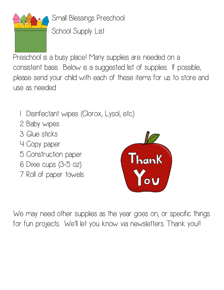

Small Blessings Preschool School Supply List

Preschool is a busy place! Many supplies are needed on a consistent basis. Below is a suggested list of supplies. If possible, please send your child with each of these items for us to store and use as needed.

- 1. Disinfectant wipes (Clorox, Lysol, etc.)
- 2. Baby wipes
- 3. Glue sticks
- 4. Copy paper
- 5. Construction paper
- 6. Dixie cups (3-5 oz)
- 7. Roll of paper towels



We may need other supplies as the year goes on, or specific things for fun projects. We'll let you know via newsletters. Thank you!!